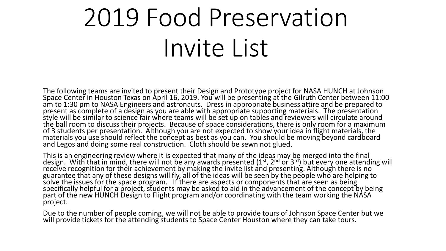## 2019 Food Preservation Invite List

The following teams are invited to present their Design and Prototype project for NASA HUNCH at Johnson Space Center in Houston Texas on April 16, 2019. You will be presenting at the Gilruth Center between 11:00 am to 1:30 pm to NASA Engineers and astronauts. Dress in appropriate business attire and be prepared to present as complete of a design as you are able with appropriate supporting materials. The presentation style will be similar to science fair where teams will be set up on tables and reviewers will circulate around the ball room to discuss their projects. Because of space considerations, there is only room for a maximum of 3 students per presentation. Although you are not expected to show your idea in flight materials, the materials you use should reflect the concept as best as you can. You should be moving beyond cardboard and Legos and doing some real construction. Cloth should be sewn not glued.

This is an engineering review where it is expected that many of the ideas may be merged into the final design. With that in mind, there will not be any awards presented (1<sup>st</sup>, 2<sup>nd</sup> or 3<sup>rd</sup>) but every one attending will receive recognition for their achievement by making the invite list and presenting. Although there is no guarantee that any of these designs will fly, all of the ideas will be seen by the people who are helping to solve the issues for the space program. If there are aspects or components that are seen as being specifically helpful for a project, students may be asked to aid in the advancement of the concept by being part of the new HUNCH Design to Flight program and/or coordinating with the team working the NÁSA project.

Due to the number of people coming, we will not be able to provide tours of Johnson Space Center but we will provide tickets for the attending students to Space Center Houston where they can take tours.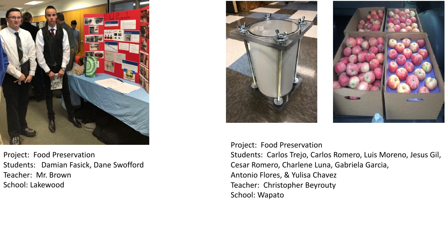

Project: Food Preservation Students: Damian Fasick, Dane Swofford Teacher: Mr. Brown School: Lakewood





Project: Food Preservation Students: Carlos Trejo, Carlos Romero, Luis Moreno, Jesus Gil, Cesar Romero, Charlene Luna, Gabriela Garcia, Antonio Flores, & Yulisa Chavez Teacher: Christopher Beyrouty School: Wapato